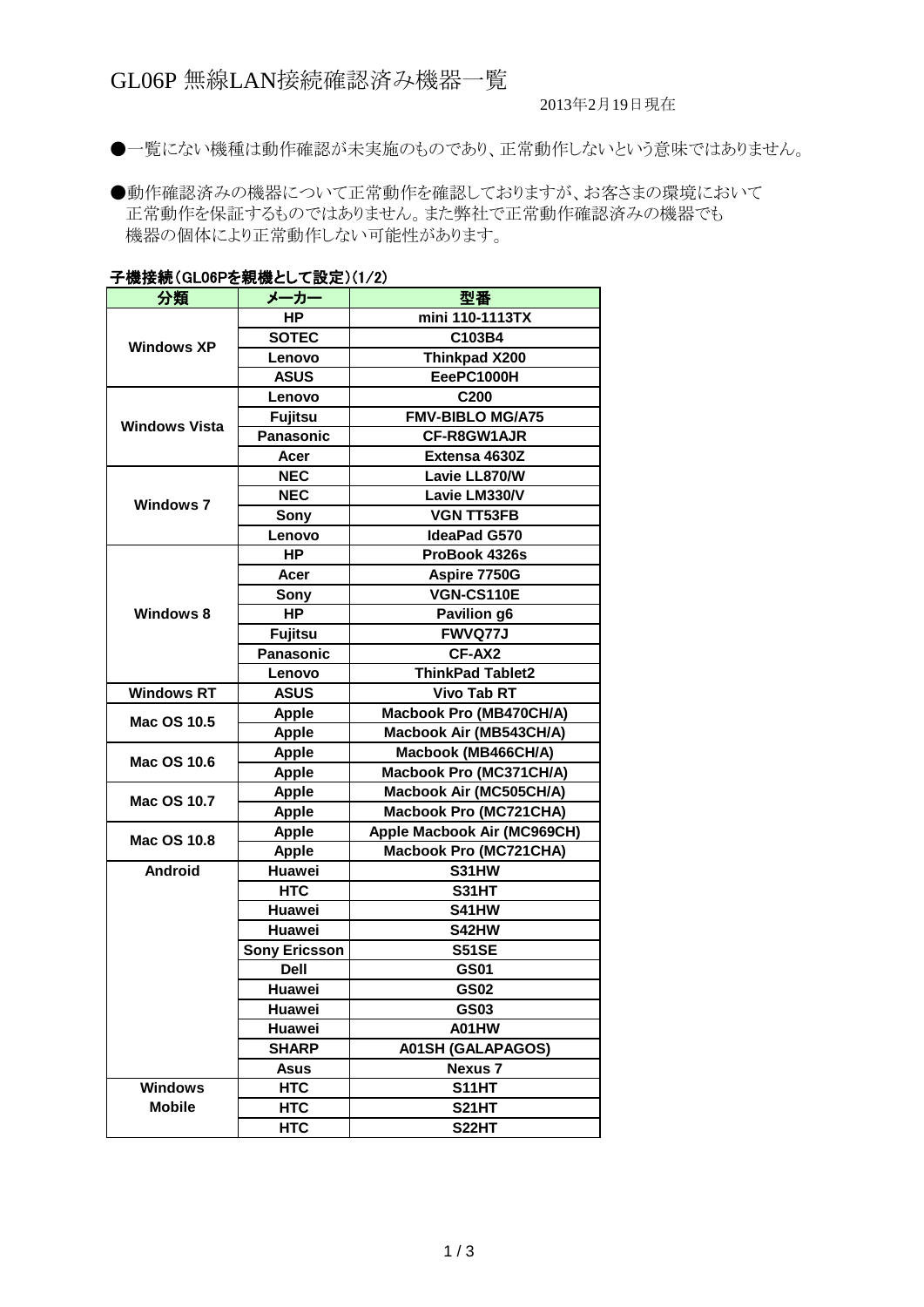2013年2月19日現在

●一覧にない機種は動作確認が未実施のものであり、正常動作しないという意味ではありません。

●動作確認済みの機器について正常動作を確認しておりますが、お客さまの環境において 正常動作を保証するものではありません。また弊社で正常動作確認済みの機器でも 機器の個体により正常動作しない可能性があります。

|                      | <b>」1波1女枕 (JLVVF で称1波とし / 改 足 八 1 / 2 /</b> |                               |
|----------------------|---------------------------------------------|-------------------------------|
| 分類                   | メーカー                                        | 型番                            |
|                      | <b>HP</b>                                   | mini 110-1113TX               |
| <b>Windows XP</b>    | <b>SOTEC</b>                                | C103B4                        |
|                      | Lenovo                                      | Thinkpad X200                 |
|                      | <b>ASUS</b>                                 | EeePC1000H                    |
|                      | Lenovo                                      | C200                          |
| <b>Windows Vista</b> | <b>Fujitsu</b>                              | <b>FMV-BIBLO MG/A75</b>       |
|                      | <b>Panasonic</b>                            | CF-R8GW1AJR                   |
|                      | Acer                                        | Extensa 4630Z                 |
| <b>Windows 7</b>     | <b>NEC</b>                                  | Lavie LL870/W                 |
|                      | <b>NEC</b>                                  | Lavie LM330/V                 |
|                      | Sony                                        | <b>VGN TT53FB</b>             |
|                      | Lenovo                                      | <b>IdeaPad G570</b>           |
|                      | <b>HP</b>                                   | ProBook 4326s                 |
|                      | Acer                                        | Aspire 7750G                  |
|                      | Sony                                        | VGN-CS110E                    |
| <b>Windows 8</b>     | <b>HP</b>                                   | Pavilion g6                   |
|                      | Fujitsu                                     | <b>FWVQ77J</b>                |
|                      | <b>Panasonic</b>                            | CF-AX2                        |
|                      | Lenovo                                      | <b>ThinkPad Tablet2</b>       |
| <b>Windows RT</b>    | <b>ASUS</b>                                 | <b>Vivo Tab RT</b>            |
|                      | <b>Apple</b>                                | Macbook Pro (MB470CH/A)       |
| Mac OS 10.5          | <b>Apple</b>                                | Macbook Air (MB543CH/A)       |
| Mac OS 10.6          | <b>Apple</b>                                | Macbook (MB466CH/A)           |
|                      | <b>Apple</b>                                | Macbook Pro (MC371CH/A)       |
| Mac OS 10.7          | <b>Apple</b>                                | Macbook Air (MC505CH/A)       |
|                      | <b>Apple</b>                                | Macbook Pro (MC721CHA)        |
| Mac OS 10.8          | <b>Apple</b>                                | Apple Macbook Air (MC969CH)   |
|                      | <b>Apple</b>                                | <b>Macbook Pro (MC721CHA)</b> |
| <b>Android</b>       | Huawei                                      | S31HW                         |
|                      | <b>HTC</b>                                  | <b>S31HT</b>                  |
|                      | Huawei                                      | S41HW                         |
|                      | Huawei                                      | <b>S42HW</b>                  |
|                      | <b>Sony Ericsson</b>                        | <b>S51SE</b>                  |
|                      | <b>Dell</b>                                 | <b>GS01</b>                   |
|                      | Huawei                                      | <b>GS02</b>                   |
|                      | Huawei                                      | GS03                          |
|                      | Huawei                                      | A01HW                         |
|                      | <b>SHARP</b>                                | <b>A01SH (GALAPAGOS)</b>      |
|                      | Asus                                        | <b>Nexus 7</b>                |
| <b>Windows</b>       | <b>HTC</b>                                  | S11HT                         |
| <b>Mobile</b>        | <b>HTC</b>                                  | <b>S21HT</b>                  |
|                      | <b>HTC</b>                                  | S22HT                         |

## 子機接続(CL06Dを組機として設定)(1/2)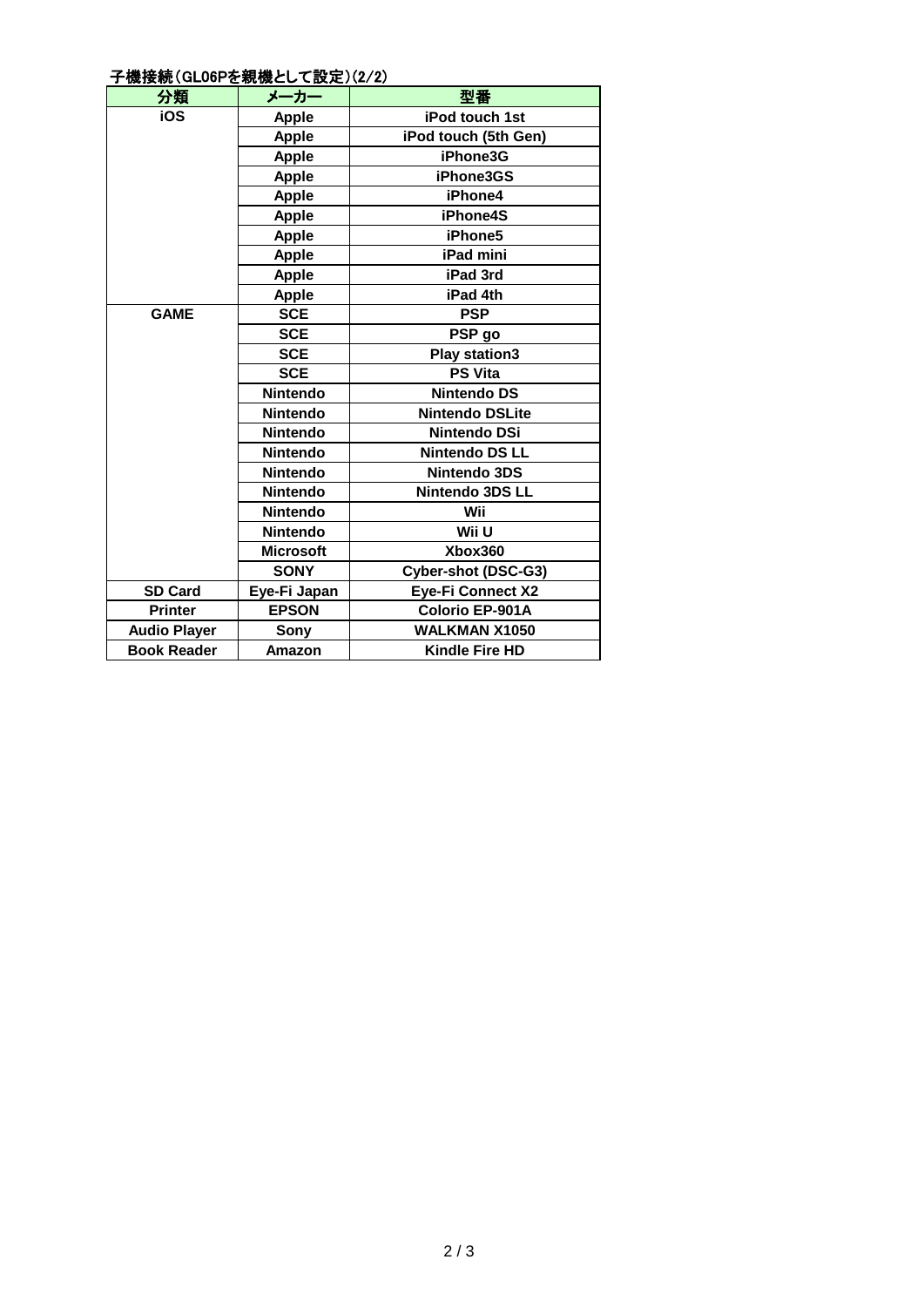## 子機接続(GL06Pを親機として設定)(2/2)

| 分類                  | メーカー             | 型番                       |
|---------------------|------------------|--------------------------|
| iOS                 | <b>Apple</b>     | <b>iPod touch 1st</b>    |
|                     | <b>Apple</b>     | iPod touch (5th Gen)     |
|                     | <b>Apple</b>     | iPhone3G                 |
|                     | <b>Apple</b>     | iPhone3GS                |
|                     | <b>Apple</b>     | iPhone4                  |
|                     | <b>Apple</b>     | iPhone4S                 |
|                     | <b>Apple</b>     | iPhone5                  |
|                     | <b>Apple</b>     | iPad mini                |
|                     | <b>Apple</b>     | iPad 3rd                 |
|                     | <b>Apple</b>     | iPad 4th                 |
| <b>GAME</b>         | <b>SCE</b>       | <b>PSP</b>               |
|                     | <b>SCE</b>       | PSP go                   |
|                     | <b>SCE</b>       | <b>Play station3</b>     |
|                     | <b>SCE</b>       | <b>PS Vita</b>           |
|                     | <b>Nintendo</b>  | <b>Nintendo DS</b>       |
|                     | <b>Nintendo</b>  | <b>Nintendo DSLite</b>   |
|                     | <b>Nintendo</b>  | <b>Nintendo DSi</b>      |
|                     | <b>Nintendo</b>  | <b>Nintendo DS LL</b>    |
|                     | <b>Nintendo</b>  | Nintendo 3DS             |
|                     | <b>Nintendo</b>  | Nintendo 3DS LL          |
|                     | <b>Nintendo</b>  | Wii                      |
|                     | <b>Nintendo</b>  | Wii U                    |
|                     | <b>Microsoft</b> | Xbox360                  |
|                     | <b>SONY</b>      | Cyber-shot (DSC-G3)      |
| <b>SD Card</b>      | Eye-Fi Japan     | <b>Eye-Fi Connect X2</b> |
| <b>Printer</b>      | <b>EPSON</b>     | <b>Colorio EP-901A</b>   |
| <b>Audio Player</b> | Sony             | <b>WALKMAN X1050</b>     |
| <b>Book Reader</b>  | Amazon           | <b>Kindle Fire HD</b>    |